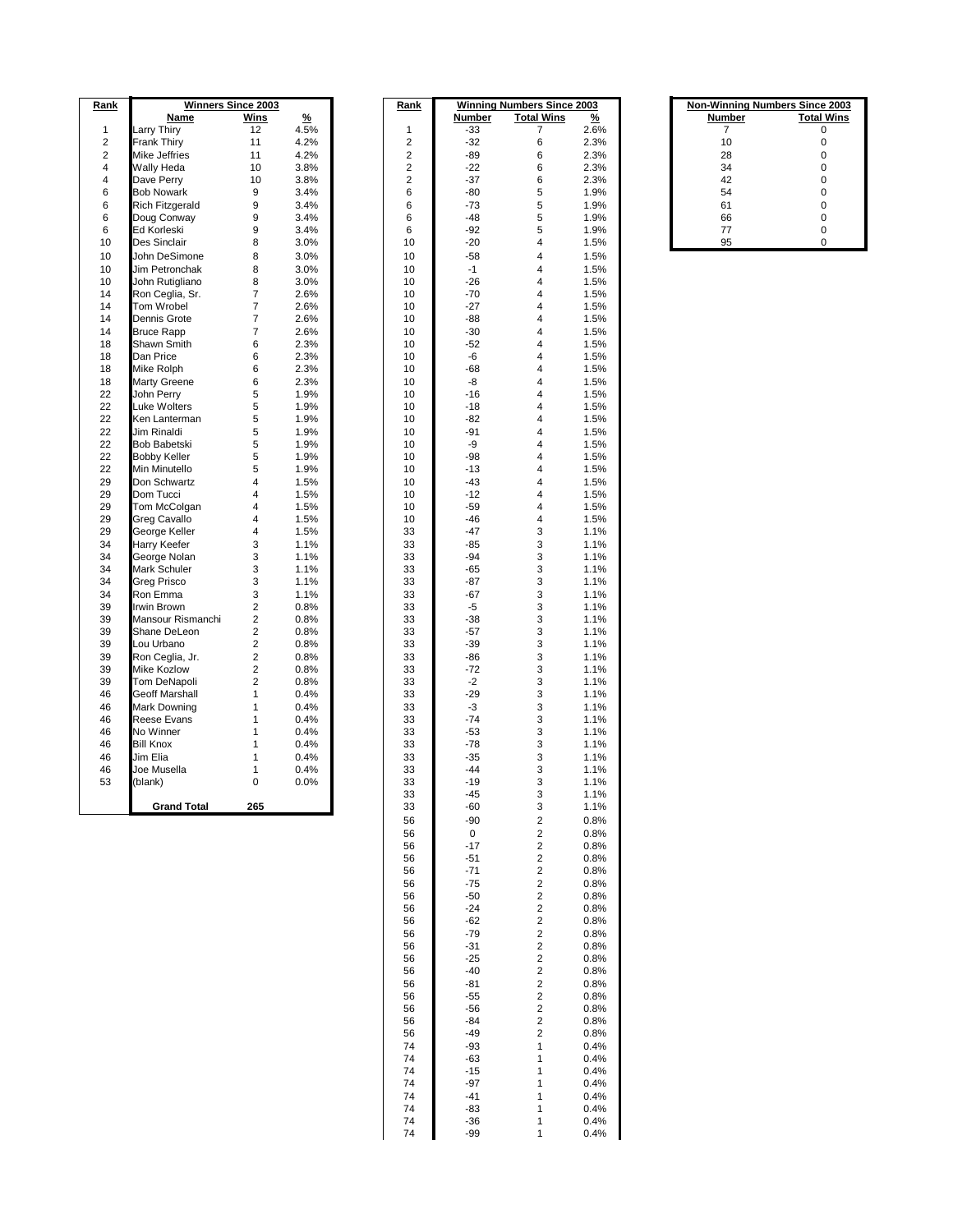| Rank             | <b>Winners Since 2003</b> |                         |               | Rank                    | <b>Winning Numbers Since 2003</b> |                   |               | <b>Non-Winning Numbers Since</b> |              |
|------------------|---------------------------|-------------------------|---------------|-------------------------|-----------------------------------|-------------------|---------------|----------------------------------|--------------|
|                  | Name                      | Wins                    | $\frac{9}{6}$ |                         | Number                            | <b>Total Wins</b> | $\frac{9}{6}$ | Number                           | <b>Total</b> |
| $\mathbf{1}$     | Larry Thiry               | 12                      | 4.5%          | $\mathbf{1}$            | $-33$                             | 7                 | 2.6%          | $\overline{7}$                   |              |
| $\overline{2}$   | <b>Frank Thiry</b>        | 11                      | 4.2%          | $\overline{2}$          | $-32$                             | 6                 | 2.3%          | 10                               | 0            |
| $\boldsymbol{2}$ | Mike Jeffries             | 11                      | 4.2%          | $\overline{c}$          | $-89$                             | 6                 | 2.3%          | 28                               | $\Omega$     |
| $\overline{4}$   | Wally Heda                | 10                      | 3.8%          | $\overline{c}$          | $-22$                             | 6                 | 2.3%          | 34                               | 0            |
| $\overline{4}$   | Dave Perry                | 10                      | 3.8%          | $\overline{\mathbf{c}}$ | $-37$                             | 6                 | 2.3%          | 42                               | 0            |
| 6                | <b>Bob Nowark</b>         | 9                       | 3.4%          | 6                       | -80                               | 5                 | 1.9%          | 54                               | 0            |
| 6                | <b>Rich Fitzgerald</b>    | 9                       | 3.4%          | 6                       | $-73$                             | 5                 | 1.9%          | 61                               | 0            |
| 6                | Doug Conway               | 9                       | 3.4%          | 6                       | $-48$                             | 5                 | 1.9%          | 66                               | 0            |
| 6                | Ed Korleski               | 9                       | 3.4%          | 6                       | $-92$                             | 5                 | 1.9%          | 77                               | 0            |
| 10               | Des Sinclair              | 8                       | 3.0%          | 10                      | $-20$                             | 4                 | 1.5%          | 95                               | 0            |
| 10               | John DeSimone             | 8                       | 3.0%          | 10                      | $-58$                             | 4                 | 1.5%          |                                  |              |
| 10               | Jim Petronchak            | 8                       | 3.0%          | 10                      | $-1$                              | 4                 | 1.5%          |                                  |              |
| 10               | John Rutigliano           | 8                       | 3.0%          | 10                      | $-26$                             | 4                 | 1.5%          |                                  |              |
| 14               | Ron Ceglia, Sr.           | $\overline{7}$          | 2.6%          | 10                      | $-70$                             | 4                 | 1.5%          |                                  |              |
| 14               | Tom Wrobel                | $\overline{7}$          | 2.6%          | 10                      | $-27$                             | 4                 | 1.5%          |                                  |              |
| 14               | Dennis Grote              | $\overline{7}$          | 2.6%          | 10                      | $-88$                             | 4                 | 1.5%          |                                  |              |
| 14               | <b>Bruce Rapp</b>         | 7                       | 2.6%          | 10                      | $-30$                             | 4                 | 1.5%          |                                  |              |
| 18               | Shawn Smith               | 6                       | 2.3%          | 10                      | $-52$                             | 4                 | 1.5%          |                                  |              |
| 18               | Dan Price                 | 6                       | 2.3%          | 10                      | -6                                | 4                 | 1.5%          |                                  |              |
| 18               | Mike Rolph                | 6                       | 2.3%          | 10                      | $-68$                             | 4                 | 1.5%          |                                  |              |
| 18               | <b>Marty Greene</b>       | 6                       | 2.3%          | 10                      | -8                                | 4                 | 1.5%          |                                  |              |
| 22               | John Perry                | 5                       | 1.9%          | 10                      | $-16$                             | 4                 | 1.5%          |                                  |              |
| 22               | <b>Luke Wolters</b>       | 5                       | 1.9%          | 10                      | $-18$                             | 4                 | 1.5%          |                                  |              |
| 22               | Ken Lanterman             | 5                       | 1.9%          | 10                      | $-82$                             | 4                 | 1.5%          |                                  |              |
| 22               | Jim Rinaldi               | 5                       | 1.9%          | 10                      | $-91$                             | 4                 | 1.5%          |                                  |              |
| 22               | <b>Bob Babetski</b>       | 5                       | 1.9%          | 10                      | -9                                | 4                 | 1.5%          |                                  |              |
| 22               | <b>Bobby Keller</b>       | 5                       | 1.9%          | 10                      | $-98$                             | 4                 | 1.5%          |                                  |              |
| 22               | Min Minutello             | 5                       | 1.9%          | 10                      | $-13$                             | 4                 | 1.5%          |                                  |              |
| 29               | Don Schwartz              | 4                       | 1.5%          | 10                      | $-43$                             | 4                 | 1.5%          |                                  |              |
| 29               | Dom Tucci                 | 4                       | 1.5%          | 10                      | $-12$                             | 4                 | 1.5%          |                                  |              |
| 29               | Tom McColgan              | 4                       | 1.5%          | 10                      | $-59$                             | 4                 | 1.5%          |                                  |              |
| 29               | Greg Cavallo              | 4                       | 1.5%          | 10                      | $-46$                             | 4                 | 1.5%          |                                  |              |
| 29               | George Keller             | 4                       | 1.5%          | 33                      | $-47$                             | 3                 | 1.1%          |                                  |              |
| 34               | Harry Keefer              | 3                       | 1.1%          | 33                      | $-85$                             | 3                 | 1.1%          |                                  |              |
| 34               | George Nolan              | 3                       | 1.1%          | 33                      | $-94$                             | 3                 | 1.1%          |                                  |              |
| 34               | Mark Schuler              | 3                       | 1.1%          | 33                      | $-65$                             | 3                 | 1.1%          |                                  |              |
| 34               | <b>Greg Prisco</b>        | 3                       | 1.1%          | 33                      | $-87$                             | 3                 | 1.1%          |                                  |              |
| 34               | Ron Emma                  | 3                       | 1.1%          | 33                      | $-67$                             | 3                 | 1.1%          |                                  |              |
| 39               | <b>Irwin Brown</b>        | $\overline{2}$          | 0.8%          | 33                      | -5                                | 3                 | 1.1%          |                                  |              |
| 39               | Mansour Rismanchi         | $\overline{2}$          |               | 33                      | $-38$                             | 3                 |               |                                  |              |
| 39               | Shane DeLeon              | $\overline{\mathbf{c}}$ | 0.8%<br>0.8%  | 33                      | $-57$                             | 3                 | 1.1%<br>1.1%  |                                  |              |
| 39               | Lou Urbano                | $\overline{2}$          | 0.8%          | 33                      | $-39$                             | 3                 | 1.1%          |                                  |              |
| 39               |                           | $\overline{\mathbf{c}}$ | 0.8%          | 33                      | $-86$                             | 3                 | 1.1%          |                                  |              |
| 39               | Ron Ceglia, Jr.           |                         |               |                         | $-72$                             | 3                 |               |                                  |              |
|                  | <b>Mike Kozlow</b>        | $\overline{\mathbf{c}}$ | 0.8%          | 33                      |                                   |                   | 1.1%          |                                  |              |
| 39               | Tom DeNapoli              | $\overline{2}$          | 0.8%          | 33                      | $-2$                              | 3                 | 1.1%          |                                  |              |
| 46               | <b>Geoff Marshall</b>     | 1                       | 0.4%          | 33                      | $-29$                             | 3                 | 1.1%          |                                  |              |
| 46               | <b>Mark Downing</b>       | 1                       | 0.4%          | 33                      | -3                                | 3                 | 1.1%          |                                  |              |
| 46               | <b>Reese Evans</b>        | 1                       | 0.4%          | 33                      | $-74$                             | 3                 | 1.1%          |                                  |              |
| 46               | No Winner                 | 1                       | 0.4%          | 33                      | $-53$                             | 3                 | 1.1%          |                                  |              |
| 46               | <b>Bill Knox</b>          | 1                       | 0.4%          | 33                      | $-78$                             | 3                 | 1.1%          |                                  |              |
| 46               | Jim Elia                  | 1                       | 0.4%          | 33                      | $-35$                             | 3                 | 1.1%          |                                  |              |
| 46               | Joe Musella               | 1                       | 0.4%          | 33                      | $-44$                             | 3                 | 1.1%          |                                  |              |
| 53               | (blank)                   | $\mathbf 0$             | 0.0%          | 33                      | $-19$                             | 3                 | 1.1%          |                                  |              |
|                  |                           |                         |               | 33                      | $-45$                             | 3                 | 1.1%          |                                  |              |
|                  | <b>Grand Total</b>        | 265                     |               | 33                      | $-60$                             | 3                 | 1.1%          |                                  |              |

|                                                                                                            | <b>Winners Since 2003</b> |               | <u>Rank</u> |               | <b>Winning Numbers Since 2003</b> |              | <b>Non-Winning Numbers Since 2003</b> |                   |
|------------------------------------------------------------------------------------------------------------|---------------------------|---------------|-------------|---------------|-----------------------------------|--------------|---------------------------------------|-------------------|
| Name                                                                                                       | Wins                      | $\frac{9}{6}$ |             | <b>Number</b> | <b>Total Wins</b>                 | <u>%</u>     | Number                                | <b>Total Wins</b> |
| / Thiry                                                                                                    | 12                        | 4.5%          | 1           | $-33$         | 7                                 | 2.6%         | 7                                     | 0                 |
| k Thiry                                                                                                    | 11                        | 4.2%          | 2           | $-32$         | 6                                 | 2.3%         | 10                                    | 0                 |
| Jeffries                                                                                                   | 11                        | 4.2%          | 2           | $-89$         | 6                                 | 2.3%         | 28                                    | 0                 |
| y Heda                                                                                                     | 10                        | 3.8%          | 2           | $-22$         | 6                                 | 2.3%         | 34                                    | 0                 |
| e Perry                                                                                                    | 10                        | 3.8%          | 2           | $-37$         | 6                                 | 2.3%         | 42                                    | 0                 |
| Nowark                                                                                                     | 9                         | 3.4%          | 6           | -80           | 5                                 | 1.9%         | 54                                    | 0                 |
| Fitzgerald                                                                                                 | 9                         | 3.4%          | 6           | -73           | 5                                 | 1.9%         | 61                                    | 0                 |
| g Conway                                                                                                   | 9                         | 3.4%          | 6           | -48           | 5                                 | 1.9%         | 66                                    | 0                 |
| .orleski                                                                                                   | 9                         | 3.4%          | 6           | $-92$         | 5                                 | 1.9%         | 77                                    | 0                 |
| Sinclair                                                                                                   | 8                         | 3.0%          | 10          | $-20$         | 4                                 | 1.5%         | 95                                    | 0                 |
| DeSimone                                                                                                   | 8                         | 3.0%          | 10          | $-58$         | 4                                 | 1.5%         |                                       |                   |
| Petronchak                                                                                                 | 8                         | 3.0%          | 10          | $-1$          | 4                                 | 1.5%         |                                       |                   |
| Rutigliano                                                                                                 | 8                         | 3.0%          | 10          | -26           | 4                                 | 1.5%         |                                       |                   |
| Ceglia, Sr.                                                                                                | 7                         | 2.6%          | 10          | $-70$         | 4                                 | 1.5%         |                                       |                   |
| Wrobel                                                                                                     | 7                         | 2.6%          | 10          | $-27$         | 4                                 | 1.5%         |                                       |                   |
| nis Grote                                                                                                  | 7                         | 2.6%          | 10          | -88           | 4                                 | 1.5%         |                                       |                   |
| e Rapp                                                                                                     | 7                         | 2.6%          | 10          | $-30$         | 4                                 | 1.5%         |                                       |                   |
| wn Smith                                                                                                   | 6                         | 2.3%          | 10          | -52           | 4                                 | 1.5%         |                                       |                   |
| Price                                                                                                      | 6                         | 2.3%          | 10          | -6            | 4                                 | 1.5%         |                                       |                   |
| Rolph                                                                                                      | 6                         | 2.3%          | 10          | $-68$         | 4                                 | 1.5%         |                                       |                   |
| y Greene                                                                                                   | 6                         | 2.3%          | 10          | -8            | 4                                 | 1.5%         |                                       |                   |
|                                                                                                            | 5                         | 1.9%          | 10          | $-16$         | 4                                 |              |                                       |                   |
| ı Perry<br>Wolters                                                                                         | 5                         | 1.9%          | 10          | $-18$         | 4                                 | 1.5%<br>1.5% |                                       |                   |
|                                                                                                            | 5                         | 1.9%          |             | $-82$         | 4                                 |              |                                       |                   |
| Lanterman                                                                                                  |                           |               | 10          |               |                                   | 1.5%         |                                       |                   |
| Rinaldi                                                                                                    | 5                         | 1.9%          | 10          | $-91$         | 4                                 | 1.5%         |                                       |                   |
| Babetski                                                                                                   | 5                         | 1.9%          | 10          | -9            | 4                                 | 1.5%         |                                       |                   |
| oy Keller                                                                                                  | 5                         | 1.9%          | 10          | $-98$         | 4                                 | 1.5%         |                                       |                   |
| Minutello                                                                                                  | 5                         | 1.9%          | 10          | $-13$         | 4                                 | 1.5%         |                                       |                   |
| Schwartz                                                                                                   | 4                         | 1.5%          | 10          | $-43$         | 4                                 | 1.5%         |                                       |                   |
| ı Tucci                                                                                                    | 4                         | 1.5%          | 10          | $-12$         | 4                                 | 1.5%         |                                       |                   |
| McColgan                                                                                                   | 4                         | 1.5%          | 10          | -59           | 4                                 | 1.5%         |                                       |                   |
| ) Cavallo                                                                                                  | 4                         | 1.5%          | 10          | -46           | 4                                 | 1.5%         |                                       |                   |
| rge Keller                                                                                                 | 4                         | 1.5%          | 33          | -47           | 3                                 | 1.1%         |                                       |                   |
| y Keefer                                                                                                   | 3                         | 1.1%          | 33          | -85           | 3                                 | 1.1%         |                                       |                   |
| rge Nolan                                                                                                  | 3                         | 1.1%          | 33          | $-94$         | 3                                 | 1.1%         |                                       |                   |
| ‹ Schuler                                                                                                  | 3                         | 1.1%          | 33          | -65           | 3                                 | 1.1%         |                                       |                   |
| g Prisco                                                                                                   | 3                         | 1.1%          | 33          | -87           | 3                                 | 1.1%         |                                       |                   |
| Emma                                                                                                       | 3                         | 1.1%          | 33          | -67           | 3                                 | 1.1%         |                                       |                   |
| I Brown                                                                                                    | 2                         | 0.8%          | 33          | -5            | 3                                 | 1.1%         |                                       |                   |
| sour Rismanchi                                                                                             | 2                         | 0.8%          | 33          | $-38$         | 3                                 | 1.1%         |                                       |                   |
| าe DeLeon                                                                                                  | 2                         | 0.8%          | 33          | $-57$         | 3                                 | 1.1%         |                                       |                   |
| Urbano                                                                                                     | 2                         | 0.8%          | 33          | $-39$         | 3                                 | 1.1%         |                                       |                   |
| Ceglia, Jr.                                                                                                | 2                         | 0.8%          | 33          | -86           | 3                                 | 1.1%         |                                       |                   |
| kozlow ؛                                                                                                   | 2                         | 0.8%          | 33          | -72           | 3                                 | 1.1%         |                                       |                   |
| DeNapoli                                                                                                   | 2                         | 0.8%          | 33          | -2            | 3                                 | 1.1%         |                                       |                   |
| ff Marshall                                                                                                | 1                         | 0.4%          | 33          | $-29$         | 3                                 | 1.1%         |                                       |                   |
| k Downing                                                                                                  | 1                         | 0.4%          | 33          | -3            | 3                                 | 1.1%         |                                       |                   |
| se Evans                                                                                                   | 1                         | 0.4%          | 33          | $-74$         | 3                                 | 1.1%         |                                       |                   |
| Vinner                                                                                                     | 1                         | 0.4%          | 33          | -53           | 3                                 | 1.1%         |                                       |                   |
| <nox< td=""><td>1</td><td>0.4%</td><td>33</td><td>-78</td><td>3</td><td>1.1%</td><td></td><td></td></nox<> | 1                         | 0.4%          | 33          | -78           | 3                                 | 1.1%         |                                       |                   |
| Elia                                                                                                       | 1                         | 0.4%          | 33          | $-35$         | 3                                 | 1.1%         |                                       |                   |
| Musella                                                                                                    | 1                         | 0.4%          | 33          | $-44$         | 3                                 | 1.1%         |                                       |                   |
| וk)                                                                                                        | 0                         | 0.0%          | 33          | -19           | 3                                 | 1.1%         |                                       |                   |
|                                                                                                            |                           |               | 33          | -45           | 3                                 | 1.1%         |                                       |                   |
| <b>Grand Total</b>                                                                                         | 265                       |               | 33          | -60           | 3                                 | 1.1%         |                                       |                   |
|                                                                                                            |                           |               | 56          | $-90$         | 2                                 | 0.8%         |                                       |                   |
|                                                                                                            |                           |               | 56          | 0             | 2                                 | 0.8%         |                                       |                   |
|                                                                                                            |                           |               | 56          | $-17$         | $\overline{\mathbf{c}}$           | 0.8%         |                                       |                   |
|                                                                                                            |                           |               | 56          | $-51$         | 2                                 | 0.8%         |                                       |                   |
|                                                                                                            |                           |               | 56          | $-71$         | $\overline{\mathbf{c}}$           | 0.8%         |                                       |                   |
|                                                                                                            |                           |               | 56          | $-75$         | $\overline{\mathbf{c}}$           | 0.8%         |                                       |                   |
|                                                                                                            |                           |               | 56          | $-50$         | 2                                 | 0.8%         |                                       |                   |
|                                                                                                            |                           |               | 56          | $-24$         | $\overline{\mathbf{c}}$           | 0.8%         |                                       |                   |
|                                                                                                            |                           |               | 56          | $-62$         | $\overline{\mathbf{c}}$           | 0.8%         |                                       |                   |
|                                                                                                            |                           |               | 56          | $-79$         | $\overline{\mathbf{c}}$           | 0.8%         |                                       |                   |
|                                                                                                            |                           |               | 56          | $-31$         | 2                                 | 0.8%         |                                       |                   |
|                                                                                                            |                           |               | 56          | $-25$         | 2                                 | 0.8%         |                                       |                   |
|                                                                                                            |                           |               | 56          | -40           | $\overline{\mathbf{c}}$           | 0.8%         |                                       |                   |
|                                                                                                            |                           |               | 56          | -81           | 2                                 | 0.8%         |                                       |                   |
|                                                                                                            |                           |               | 56          | $-55$         | 2                                 | 0.8%         |                                       |                   |
|                                                                                                            |                           |               | 56          | -56           | 2                                 | 0.8%         |                                       |                   |
|                                                                                                            |                           |               |             | -84           | 2                                 |              |                                       |                   |
|                                                                                                            |                           |               | 56          |               |                                   | 0.8%         |                                       |                   |
|                                                                                                            |                           |               | 56<br>74    | -49<br>$-93$  | 2                                 | 0.8%<br>0.4% |                                       |                   |
|                                                                                                            |                           |               | 74          |               | $\mathbf{1}$<br>1                 |              |                                       |                   |
|                                                                                                            |                           |               |             | -63           |                                   | 0.4%         |                                       |                   |
|                                                                                                            |                           |               | 74          | $-15$         | 1                                 | 0.4%         |                                       |                   |
|                                                                                                            |                           |               | 74          | $-97$         | 1                                 | 0.4%         |                                       |                   |
|                                                                                                            |                           |               | 74          | $-41$         | 1                                 | 0.4%         |                                       |                   |
|                                                                                                            |                           |               | 74          | -83           | 1                                 | 0.4%         |                                       |                   |
|                                                                                                            |                           |               | 74          | $-36$         | $\mathbf{1}$                      | 0.4%         |                                       |                   |
|                                                                                                            |                           |               | 74          | -99           | $\mathbf{1}$                      | 0.4%         |                                       |                   |

| <b>Non-Winning Numbers Since 2003</b> |                   |  |  |  |  |  |  |
|---------------------------------------|-------------------|--|--|--|--|--|--|
| <b>Number</b>                         | <b>Total Wins</b> |  |  |  |  |  |  |
|                                       |                   |  |  |  |  |  |  |
| 10                                    | 0                 |  |  |  |  |  |  |
| 28                                    | 0                 |  |  |  |  |  |  |
| 34                                    | 0                 |  |  |  |  |  |  |
| 42                                    | 0                 |  |  |  |  |  |  |
| 54                                    | 0                 |  |  |  |  |  |  |
| 61                                    | 0                 |  |  |  |  |  |  |
| 66                                    | 0                 |  |  |  |  |  |  |
| 77                                    | 0                 |  |  |  |  |  |  |
| QĘ                                    | n                 |  |  |  |  |  |  |